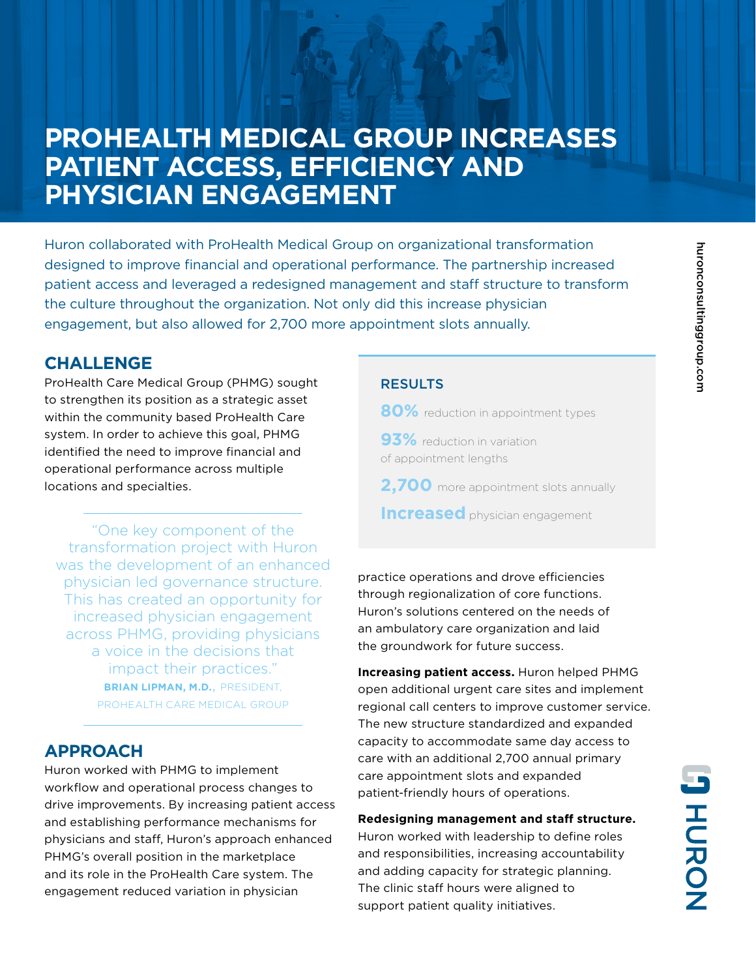# **PROHEALTH MEDICAL GROUP INCREASES PATIENT ACCESS, EFFICIENCY AND PHYSICIAN ENGAGEMENT**

Huron collaborated with ProHealth Medical Group on organizational transformation designed to improve financial and operational performance. The partnership increased patient access and leveraged a redesigned management and staff structure to transform the culture throughout the organization. Not only did this increase physician engagement, but also allowed for 2,700 more appointment slots annually.

### **CHALLENGE**

ProHealth Care Medical Group (PHMG) sought to strengthen its position as a strategic asset within the community based ProHealth Care system. In order to achieve this goal, PHMG identified the need to improve financial and operational performance across multiple locations and specialties.

"One key component of the transformation project with Huron was the development of an enhanced physician led governance structure. This has created an opportunity for increased physician engagement across PHMG, providing physicians a voice in the decisions that impact their practices." **BRIAN LIPMAN, M.D.**, PRESIDENT, PROHEALTH CARE MEDICAL GROUP

## **APPROACH**

Huron worked with PHMG to implement workflow and operational process changes to drive improvements. By increasing patient access and establishing performance mechanisms for physicians and staff, Huron's approach enhanced PHMG's overall position in the marketplace and its role in the ProHealth Care system. The engagement reduced variation in physician

### **RESULTS**

- **80%** reduction in appointment types
- **93%** reduction in variation of appointment lengths
- **2,700** more appointment slots annually
- **Increased** physician engagement

practice operations and drove efficiencies through regionalization of core functions. Huron's solutions centered on the needs of an ambulatory care organization and laid the groundwork for future success.

**Increasing patient access.** Huron helped PHMG open additional urgent care sites and implement regional call centers to improve customer service. The new structure standardized and expanded capacity to accommodate same day access to care with an additional 2,700 annual primary care appointment slots and expanded patient-friendly hours of operations.

**Redesigning management and staff structure.** Huron worked with leadership to define roles and responsibilities, increasing accountability and adding capacity for strategic planning. The clinic staff hours were aligned to support patient quality initiatives.